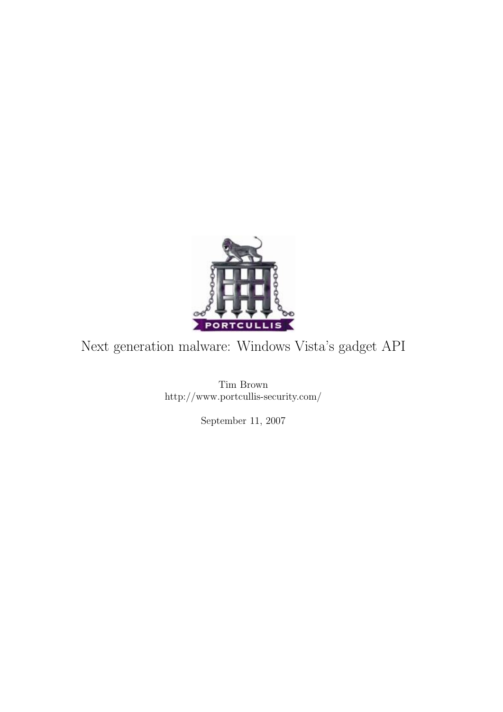

### Next generation malware: Windows Vista's gadget API

Tim Brown http://www.portcullis-security.com/

September 11, 2007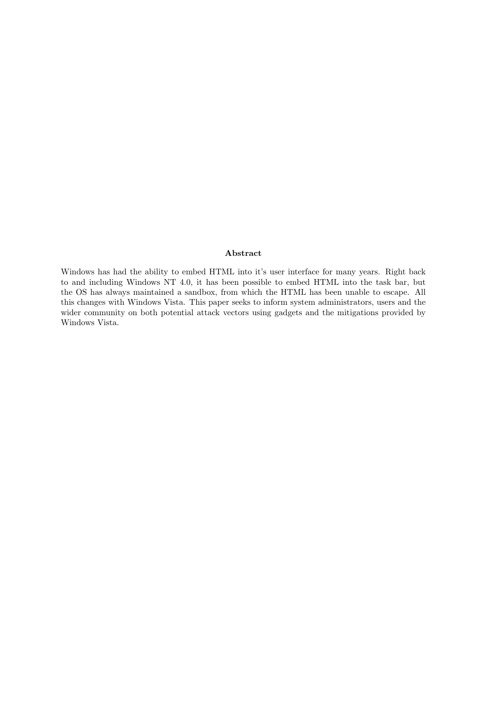#### Abstract

Windows has had the ability to embed HTML into it's user interface for many years. Right back to and including Windows NT 4.0, it has been possible to embed HTML into the task bar, but the OS has always maintained a sandbox, from which the HTML has been unable to escape. All this changes with Windows Vista. This paper seeks to inform system administrators, users and the wider community on both potential attack vectors using gadgets and the mitigations provided by Windows Vista.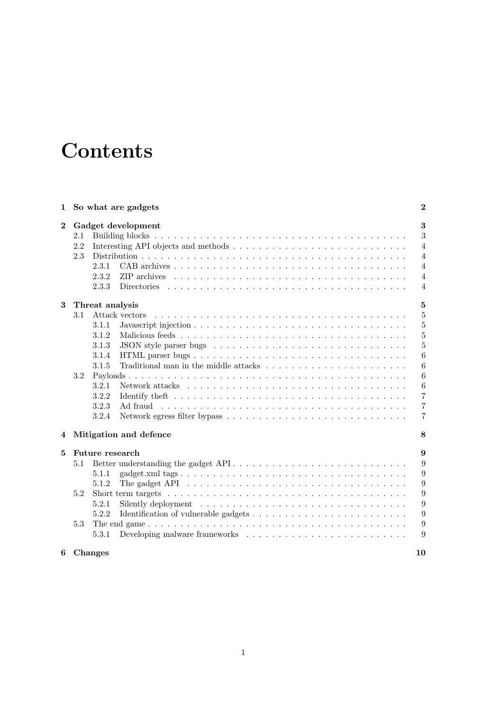# **Contents**

| 1                |                                    | So what are gadgets                                                                                                                             | $\bf{2}$       |  |
|------------------|------------------------------------|-------------------------------------------------------------------------------------------------------------------------------------------------|----------------|--|
| $\boldsymbol{2}$ | Gadget development                 |                                                                                                                                                 |                |  |
|                  | 2.1                                |                                                                                                                                                 | 3              |  |
|                  | 2.2                                |                                                                                                                                                 | $\overline{4}$ |  |
|                  | 2.3                                |                                                                                                                                                 | $\overline{4}$ |  |
|                  |                                    | 2.3.1                                                                                                                                           | $\overline{4}$ |  |
|                  |                                    | 2.3.2                                                                                                                                           | $\overline{4}$ |  |
|                  |                                    | 2.3.3                                                                                                                                           | $\overline{4}$ |  |
| 3                | $5\overline{a}$<br>Threat analysis |                                                                                                                                                 |                |  |
|                  | 3.1                                | Attack vectors                                                                                                                                  | 5              |  |
|                  |                                    | 3.1.1                                                                                                                                           | $\overline{5}$ |  |
|                  |                                    | 3.1.2                                                                                                                                           | $\overline{5}$ |  |
|                  |                                    | 3.1.3                                                                                                                                           | $\overline{5}$ |  |
|                  |                                    | 3.1.4                                                                                                                                           | 6              |  |
|                  |                                    | 3.1.5                                                                                                                                           | 6              |  |
|                  | 3.2                                |                                                                                                                                                 | 6              |  |
|                  |                                    | 3.2.1<br>Network attacks $\ldots$ , $\ldots$ , $\ldots$ , $\ldots$ , $\ldots$ , $\ldots$ , $\ldots$ , $\ldots$ , $\ldots$ , $\ldots$ , $\ldots$ | 6              |  |
|                  |                                    | 3.2.2                                                                                                                                           | $\overline{7}$ |  |
|                  |                                    | 3.2.3<br>Ad fraud                                                                                                                               | $\overline{7}$ |  |
|                  |                                    | 3.2.4                                                                                                                                           | $\overline{7}$ |  |
| 4                |                                    | Mitigation and defence                                                                                                                          | 8              |  |
| 5                | <b>Future research</b><br>9        |                                                                                                                                                 |                |  |
|                  | 5.1                                | Better understanding the gadget API                                                                                                             | 9              |  |
|                  |                                    | 5.1.1                                                                                                                                           | 9              |  |
|                  |                                    | The gadget API $\ldots \ldots \ldots \ldots \ldots \ldots \ldots \ldots \ldots \ldots \ldots \ldots \ldots$<br>5.1.2                            | 9              |  |
|                  | 5.2                                |                                                                                                                                                 | 9              |  |
|                  |                                    | 5.2.1<br>Silently deployment $\dots \dots \dots \dots \dots \dots \dots \dots \dots \dots \dots \dots \dots$                                    | 9              |  |
|                  |                                    | 5.2.2                                                                                                                                           | 9              |  |
|                  | 5.3                                |                                                                                                                                                 | 9              |  |
|                  |                                    | 5.3.1                                                                                                                                           | 9              |  |
| 6                |                                    | Changes                                                                                                                                         | 10             |  |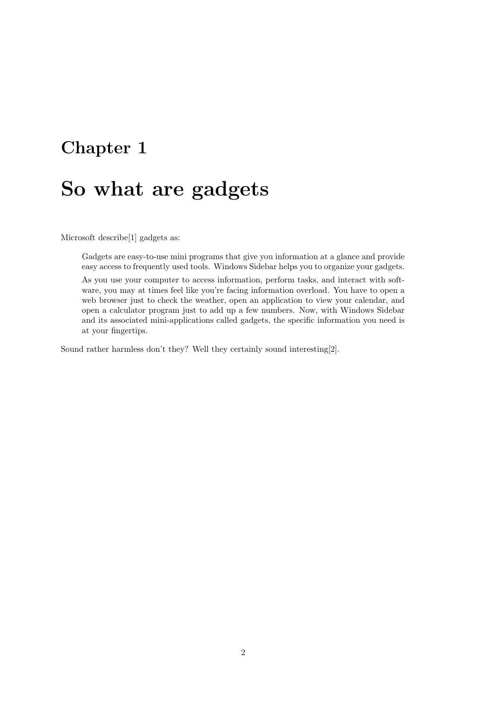# So what are gadgets

Microsoft describe[1] gadgets as:

Gadgets are easy-to-use mini programs that give you information at a glance and provide easy access to frequently used tools. Windows Sidebar helps you to organize your gadgets.

As you use your computer to access information, perform tasks, and interact with software, you may at times feel like you're facing information overload. You have to open a web browser just to check the weather, open an application to view your calendar, and open a calculator program just to add up a few numbers. Now, with Windows Sidebar and its associated mini-applications called gadgets, the specific information you need is at your fingertips.

Sound rather harmless don't they? Well they certainly sound interesting[2].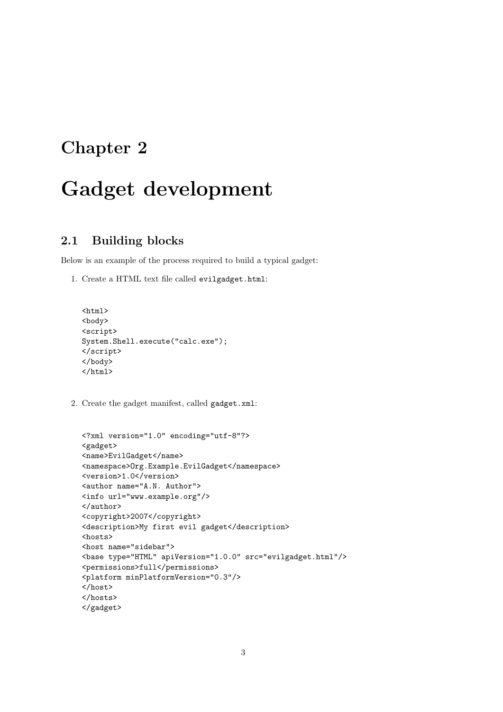# Gadget development

#### 2.1 Building blocks

Below is an example of the process required to build a typical gadget:

1. Create a HTML text file called evilgadget.html:

```
<html>
<body>
<script>
System.Shell.execute("calc.exe");
</script>
</body>
\langle/html>
```
2. Create the gadget manifest, called gadget.xml:

```
<?xml version="1.0" encoding="utf-8"?>
<gadget>
<name>EvilGadget</name>
<namespace>Org.Example.EvilGadget</namespace>
<version>1.0</version>
<author name="A.N. Author">
<info url="www.example.org"/>
</author>
<copyright>2007</copyright>
<description>My first evil gadget</description>
<hosts>
<host name="sidebar">
<base type="HTML" apiVersion="1.0.0" src="evilgadget.html"/>
<permissions>full</permissions>
<platform minPlatformVersion="0.3"/>
</host>
</hosts>
</gadget>
```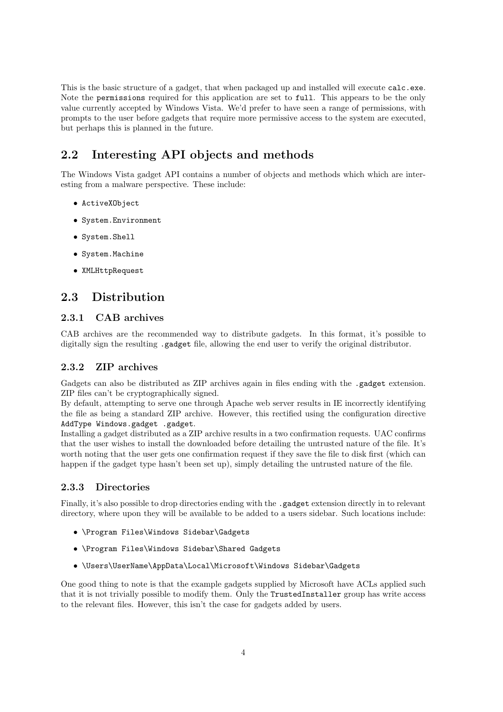This is the basic structure of a gadget, that when packaged up and installed will execute calc.exe. Note the permissions required for this application are set to full. This appears to be the only value currently accepted by Windows Vista. We'd prefer to have seen a range of permissions, with prompts to the user before gadgets that require more permissive access to the system are executed, but perhaps this is planned in the future.

#### 2.2 Interesting API objects and methods

The Windows Vista gadget API contains a number of objects and methods which which are interesting from a malware perspective. These include:

- ActiveXObject
- System.Environment
- System.Shell
- System.Machine
- XMLHttpRequest

#### 2.3 Distribution

#### 2.3.1 CAB archives

CAB archives are the recommended way to distribute gadgets. In this format, it's possible to digitally sign the resulting .gadget file, allowing the end user to verify the original distributor.

#### 2.3.2 ZIP archives

Gadgets can also be distributed as ZIP archives again in files ending with the .gadget extension. ZIP files can't be cryptographically signed.

By default, attempting to serve one through Apache web server results in IE incorrectly identifying the file as being a standard ZIP archive. However, this rectified using the configuration directive AddType Windows.gadget .gadget.

Installing a gadget distributed as a ZIP archive results in a two confirmation requests. UAC confirms that the user wishes to install the downloaded before detailing the untrusted nature of the file. It's worth noting that the user gets one confirmation request if they save the file to disk first (which can happen if the gadget type hasn't been set up), simply detailing the untrusted nature of the file.

#### 2.3.3 Directories

Finally, it's also possible to drop directories ending with the .gadget extension directly in to relevant directory, where upon they will be available to be added to a users sidebar. Such locations include:

- \Program Files\Windows Sidebar\Gadgets
- \Program Files\Windows Sidebar\Shared Gadgets
- \Users\UserName\AppData\Local\Microsoft\Windows Sidebar\Gadgets

One good thing to note is that the example gadgets supplied by Microsoft have ACLs applied such that it is not trivially possible to modify them. Only the TrustedInstaller group has write access to the relevant files. However, this isn't the case for gadgets added by users.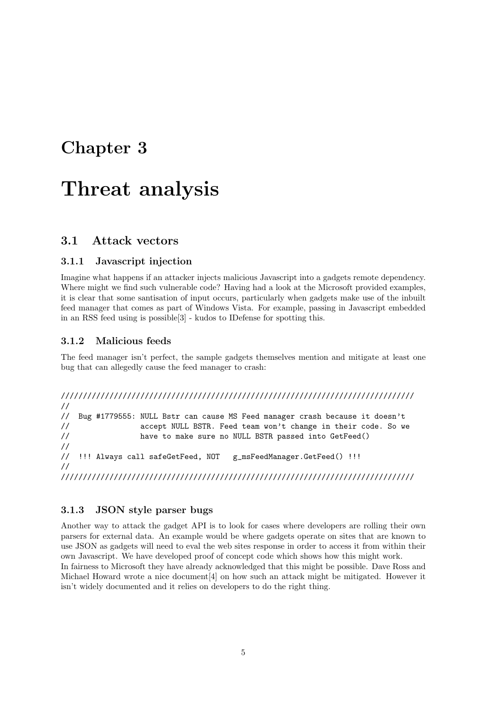## Threat analysis

#### 3.1 Attack vectors

#### 3.1.1 Javascript injection

Imagine what happens if an attacker injects malicious Javascript into a gadgets remote dependency. Where might we find such vulnerable code? Having had a look at the Microsoft provided examples, it is clear that some santisation of input occurs, particularly when gadgets make use of the inbuilt feed manager that comes as part of Windows Vista. For example, passing in Javascript embedded in an RSS feed using is possible[3] - kudos to IDefense for spotting this.

#### 3.1.2 Malicious feeds

The feed manager isn't perfect, the sample gadgets themselves mention and mitigate at least one bug that can allegedly cause the feed manager to crash:

```
////////////////////////////////////////////////////////////////////////////////
//
// Bug #1779555: NULL Bstr can cause MS Feed manager crash because it doesn't
// accept NULL BSTR. Feed team won't change in their code. So we
// have to make sure no NULL BSTR passed into GetFeed()
//
// !!! Always call safeGetFeed, NOT g_msFeedManager.GetFeed() !!!
//
////////////////////////////////////////////////////////////////////////////////
```
#### 3.1.3 JSON style parser bugs

Another way to attack the gadget API is to look for cases where developers are rolling their own parsers for external data. An example would be where gadgets operate on sites that are known to use JSON as gadgets will need to eval the web sites response in order to access it from within their own Javascript. We have developed proof of concept code which shows how this might work. In fairness to Microsoft they have already acknowledged that this might be possible. Dave Ross and Michael Howard wrote a nice document[4] on how such an attack might be mitigated. However it isn't widely documented and it relies on developers to do the right thing.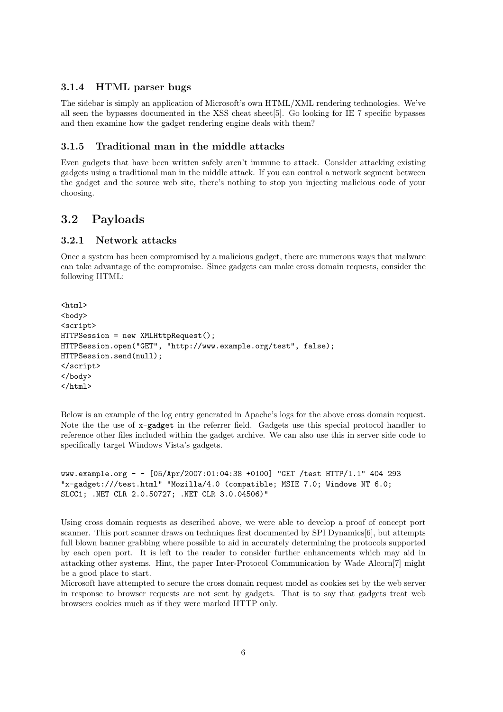#### 3.1.4 HTML parser bugs

The sidebar is simply an application of Microsoft's own HTML/XML rendering technologies. We've all seen the bypasses documented in the XSS cheat sheet[5]. Go looking for IE 7 specific bypasses and then examine how the gadget rendering engine deals with them?

#### 3.1.5 Traditional man in the middle attacks

Even gadgets that have been written safely aren't immune to attack. Consider attacking existing gadgets using a traditional man in the middle attack. If you can control a network segment between the gadget and the source web site, there's nothing to stop you injecting malicious code of your choosing.

#### 3.2 Payloads

#### 3.2.1 Network attacks

Once a system has been compromised by a malicious gadget, there are numerous ways that malware can take advantage of the compromise. Since gadgets can make cross domain requests, consider the following HTML:

```
<html>
<body>
<script>
HTTPSession = new XMLHttpRequest();
HTTPSession.open("GET", "http://www.example.org/test", false);
HTTPSession.send(null);
</script>
</body>
</html>
```
Below is an example of the log entry generated in Apache's logs for the above cross domain request. Note the the use of x-gadget in the referrer field. Gadgets use this special protocol handler to reference other files included within the gadget archive. We can also use this in server side code to specifically target Windows Vista's gadgets.

```
www.example.org - - [05/Apr/2007:01:04:38 +0100] "GET /test HTTP/1.1" 404 293
"x-gadget:///test.html" "Mozilla/4.0 (compatible; MSIE 7.0; Windows NT 6.0;
SLCC1; .NET CLR 2.0.50727; .NET CLR 3.0.04506)"
```
Using cross domain requests as described above, we were able to develop a proof of concept port scanner. This port scanner draws on techniques first documented by SPI Dynamics[6], but attempts full blown banner grabbing where possible to aid in accurately determining the protocols supported by each open port. It is left to the reader to consider further enhancements which may aid in attacking other systems. Hint, the paper Inter-Protocol Communication by Wade Alcorn[7] might be a good place to start.

Microsoft have attempted to secure the cross domain request model as cookies set by the web server in response to browser requests are not sent by gadgets. That is to say that gadgets treat web browsers cookies much as if they were marked HTTP only.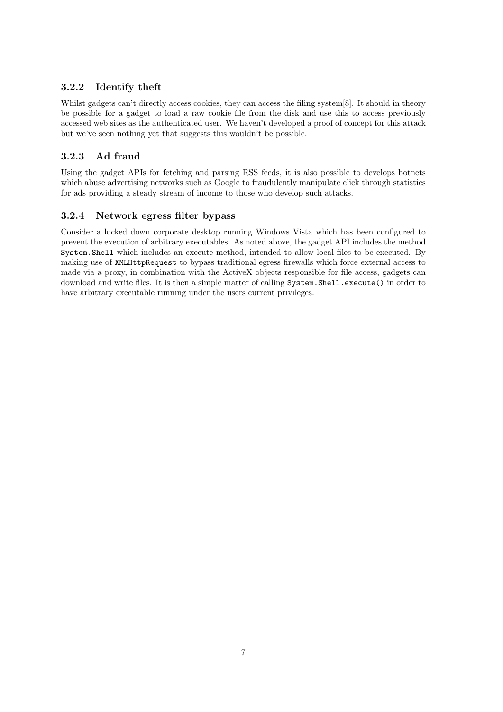#### 3.2.2 Identify theft

Whilst gadgets can't directly access cookies, they can access the filing system [8]. It should in theory be possible for a gadget to load a raw cookie file from the disk and use this to access previously accessed web sites as the authenticated user. We haven't developed a proof of concept for this attack but we've seen nothing yet that suggests this wouldn't be possible.

#### 3.2.3 Ad fraud

Using the gadget APIs for fetching and parsing RSS feeds, it is also possible to develops botnets which abuse advertising networks such as Google to fraudulently manipulate click through statistics for ads providing a steady stream of income to those who develop such attacks.

#### 3.2.4 Network egress filter bypass

Consider a locked down corporate desktop running Windows Vista which has been configured to prevent the execution of arbitrary executables. As noted above, the gadget API includes the method System.Shell which includes an execute method, intended to allow local files to be executed. By making use of XMLHttpRequest to bypass traditional egress firewalls which force external access to made via a proxy, in combination with the ActiveX objects responsible for file access, gadgets can download and write files. It is then a simple matter of calling System. Shell.execute() in order to have arbitrary executable running under the users current privileges.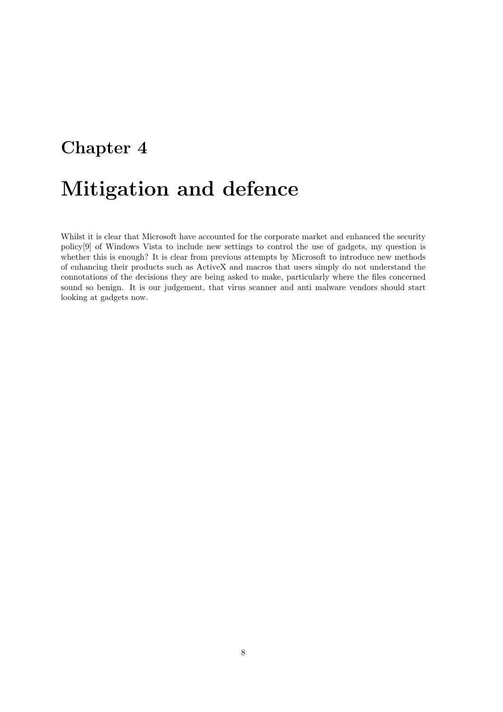# Mitigation and defence

Whilst it is clear that Microsoft have accounted for the corporate market and enhanced the security policy[9] of Windows Vista to include new settings to control the use of gadgets, my question is whether this is enough? It is clear from previous attempts by Microsoft to introduce new methods of enhancing their products such as ActiveX and macros that users simply do not understand the connotations of the decisions they are being asked to make, particularly where the files concerned sound so benign. It is our judgement, that virus scanner and anti malware vendors should start looking at gadgets now.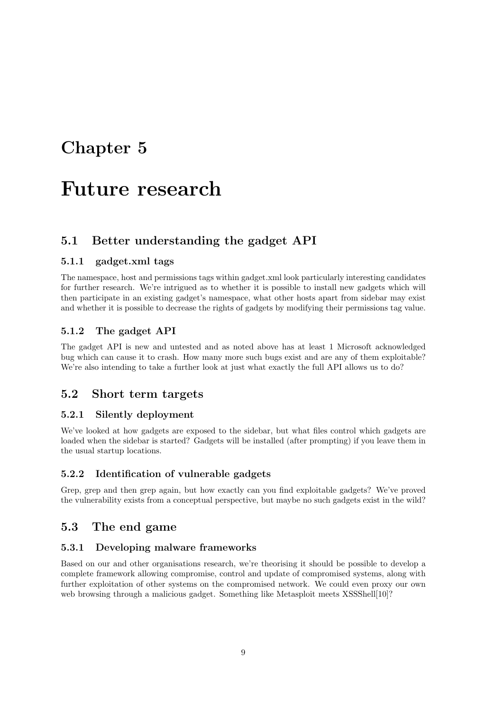### Future research

#### 5.1 Better understanding the gadget API

#### 5.1.1 gadget.xml tags

The namespace, host and permissions tags within gadget.xml look particularly interesting candidates for further research. We're intrigued as to whether it is possible to install new gadgets which will then participate in an existing gadget's namespace, what other hosts apart from sidebar may exist and whether it is possible to decrease the rights of gadgets by modifying their permissions tag value.

#### 5.1.2 The gadget API

The gadget API is new and untested and as noted above has at least 1 Microsoft acknowledged bug which can cause it to crash. How many more such bugs exist and are any of them exploitable? We're also intending to take a further look at just what exactly the full API allows us to do?

#### 5.2 Short term targets

#### 5.2.1 Silently deployment

We've looked at how gadgets are exposed to the sidebar, but what files control which gadgets are loaded when the sidebar is started? Gadgets will be installed (after prompting) if you leave them in the usual startup locations.

#### 5.2.2 Identification of vulnerable gadgets

Grep, grep and then grep again, but how exactly can you find exploitable gadgets? We've proved the vulnerability exists from a conceptual perspective, but maybe no such gadgets exist in the wild?

#### 5.3 The end game

#### 5.3.1 Developing malware frameworks

Based on our and other organisations research, we're theorising it should be possible to develop a complete framework allowing compromise, control and update of compromised systems, along with further exploitation of other systems on the compromised network. We could even proxy our own web browsing through a malicious gadget. Something like Metasploit meets XSSShell[10]?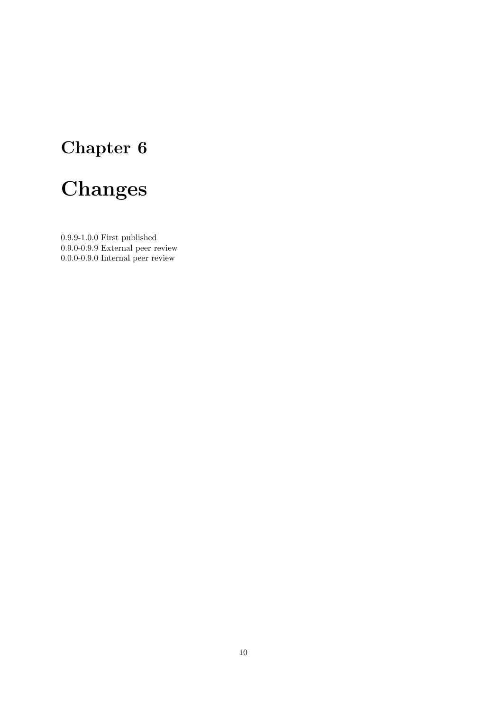# Changes

0.9.9-1.0.0 First published 0.9.0-0.9.9 External peer review 0.0.0-0.9.0 Internal peer review